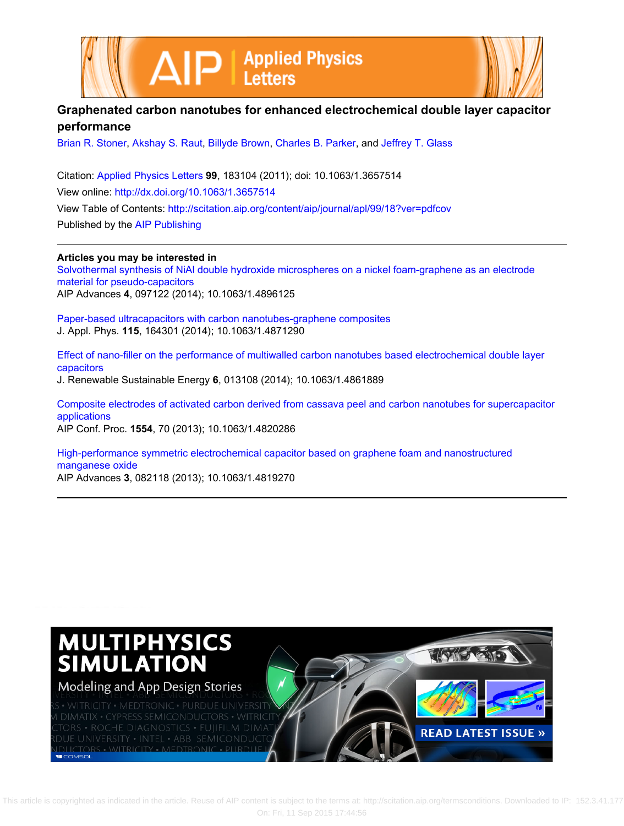



## **Graphenated carbon nanotubes for enhanced electrochemical double layer capacitor performance**

[Brian R. Stoner](http://scitation.aip.org/search?value1=Brian+R.+Stoner&option1=author), [Akshay S. Raut,](http://scitation.aip.org/search?value1=Akshay+S.+Raut&option1=author) [Billyde Brown,](http://scitation.aip.org/search?value1=Billyde+Brown&option1=author) [Charles B. Parker](http://scitation.aip.org/search?value1=Charles+B.+Parker&option1=author), and [Jeffrey T. Glass](http://scitation.aip.org/search?value1=Jeffrey+T.+Glass&option1=author)

Citation: [Applied Physics Letters](http://scitation.aip.org/content/aip/journal/apl?ver=pdfcov) **99**, 183104 (2011); doi: 10.1063/1.3657514 View online: <http://dx.doi.org/10.1063/1.3657514> View Table of Contents: <http://scitation.aip.org/content/aip/journal/apl/99/18?ver=pdfcov> Published by the [AIP Publishing](http://scitation.aip.org/content/aip?ver=pdfcov)

**Articles you may be interested in** [Solvothermal synthesis of NiAl double hydroxide microspheres on a nickel foam-graphene as an electrode](http://scitation.aip.org/content/aip/journal/adva/4/9/10.1063/1.4896125?ver=pdfcov) [material for pseudo-capacitors](http://scitation.aip.org/content/aip/journal/adva/4/9/10.1063/1.4896125?ver=pdfcov) AIP Advances **4**, 097122 (2014); 10.1063/1.4896125

[Paper-based ultracapacitors with carbon nanotubes-graphene composites](http://scitation.aip.org/content/aip/journal/jap/115/16/10.1063/1.4871290?ver=pdfcov) J. Appl. Phys. **115**, 164301 (2014); 10.1063/1.4871290

[Effect of nano-filler on the performance of multiwalled carbon nanotubes based electrochemical double layer](http://scitation.aip.org/content/aip/journal/jrse/6/1/10.1063/1.4861889?ver=pdfcov) [capacitors](http://scitation.aip.org/content/aip/journal/jrse/6/1/10.1063/1.4861889?ver=pdfcov) J. Renewable Sustainable Energy **6**, 013108 (2014); 10.1063/1.4861889

[Composite electrodes of activated carbon derived from cassava peel and carbon nanotubes for supercapacitor](http://scitation.aip.org/content/aip/proceeding/aipcp/10.1063/1.4820286?ver=pdfcov) [applications](http://scitation.aip.org/content/aip/proceeding/aipcp/10.1063/1.4820286?ver=pdfcov) AIP Conf. Proc. **1554**, 70 (2013); 10.1063/1.4820286

[High-performance symmetric electrochemical capacitor based on graphene foam and nanostructured](http://scitation.aip.org/content/aip/journal/adva/3/8/10.1063/1.4819270?ver=pdfcov) [manganese oxide](http://scitation.aip.org/content/aip/journal/adva/3/8/10.1063/1.4819270?ver=pdfcov) AIP Advances **3**, 082118 (2013); 10.1063/1.4819270

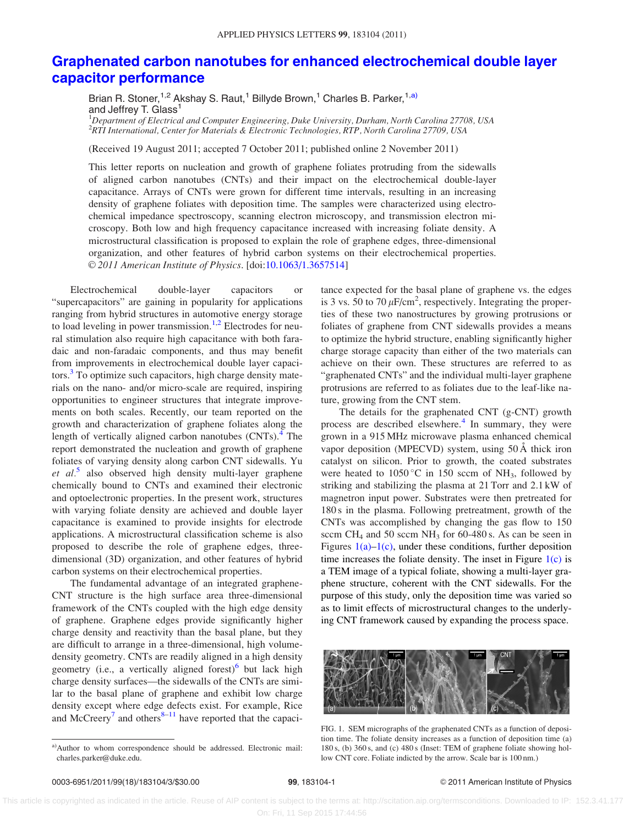## [Graphenated carbon nanotubes for enhanced electrochemical double layer](http://dx.doi.org/10.1063/1.3657514) [capacitor performance](http://dx.doi.org/10.1063/1.3657514)

Brian R. Stoner,<sup>1,2</sup> Akshay S. Raut,<sup>1</sup> Billyde Brown,<sup>1</sup> Charles B. Parker,<sup>1,a)</sup> and Jeffrey T. Glass<sup>1</sup>

<sup>1</sup>Department of Electrical and Computer Engineering, Duke University, Durham, North Carolina 27708, USA 2 RTI International, Center for Materials & Electronic Technologies, RTP, North Carolina 27709, USA

(Received 19 August 2011; accepted 7 October 2011; published online 2 November 2011)

This letter reports on nucleation and growth of graphene foliates protruding from the sidewalls of aligned carbon nanotubes (CNTs) and their impact on the electrochemical double-layer capacitance. Arrays of CNTs were grown for different time intervals, resulting in an increasing density of graphene foliates with deposition time. The samples were characterized using electrochemical impedance spectroscopy, scanning electron microscopy, and transmission electron microscopy. Both low and high frequency capacitance increased with increasing foliate density. A microstructural classification is proposed to explain the role of graphene edges, three-dimensional organization, and other features of hybrid carbon systems on their electrochemical properties. V<sup>C</sup> 2011 American Institute of Physics. [doi:[10.1063/1.3657514](http://dx.doi.org/10.1063/1.3657514)]

Electrochemical double-layer capacitors or "supercapacitors" are gaining in popularity for applications ranging from hybrid structures in automotive energy storage to load leveling in power transmission.<sup>[1,2](#page-3-0)</sup> Electrodes for neural stimulation also require high capacitance with both faradaic and non-faradaic components, and thus may benefit from improvements in electrochemical double layer capaci-tors.<sup>[3](#page-3-0)</sup> To optimize such capacitors, high charge density materials on the nano- and/or micro-scale are required, inspiring opportunities to engineer structures that integrate improvements on both scales. Recently, our team reported on the growth and characterization of graphene foliates along the length of vertically aligned carbon nanotubes  $(CNTs)$ .<sup>[4](#page-3-0)</sup> The report demonstrated the nucleation and growth of graphene foliates of varying density along carbon CNT sidewalls. Yu et  $al^5$  $al^5$  also observed high density multi-layer graphene chemically bound to CNTs and examined their electronic and optoelectronic properties. In the present work, structures with varying foliate density are achieved and double layer capacitance is examined to provide insights for electrode applications. A microstructural classification scheme is also proposed to describe the role of graphene edges, threedimensional (3D) organization, and other features of hybrid carbon systems on their electrochemical properties.

The fundamental advantage of an integrated graphene-CNT structure is the high surface area three-dimensional framework of the CNTs coupled with the high edge density of graphene. Graphene edges provide significantly higher charge density and reactivity than the basal plane, but they are difficult to arrange in a three-dimensional, high volumedensity geometry. CNTs are readily aligned in a high density geometry (i.e., a vertically aligned forest) $6$  but lack high charge density surfaces—the sidewalls of the CNTs are similar to the basal plane of graphene and exhibit low charge density except where edge defects exist. For example, Rice and  $McCreery^7$  $McCreery^7$  and others<sup>[8–11](#page-3-0)</sup> have reported that the capacitance expected for the basal plane of graphene vs. the edges is 3 vs. 50 to 70  $\mu$ F/cm<sup>2</sup>, respectively. Integrating the properties of these two nanostructures by growing protrusions or foliates of graphene from CNT sidewalls provides a means to optimize the hybrid structure, enabling significantly higher charge storage capacity than either of the two materials can achieve on their own. These structures are referred to as "graphenated CNTs" and the individual multi-layer graphene protrusions are referred to as foliates due to the leaf-like nature, growing from the CNT stem.

The details for the graphenated CNT (g-CNT) growth process are described elsewhere.<sup>[4](#page-3-0)</sup> In summary, they were grown in a 915 MHz microwave plasma enhanced chemical vapor deposition (MPECVD) system, using 50 A thick iron catalyst on silicon. Prior to growth, the coated substrates were heated to  $1050\,^{\circ}\text{C}$  in 150 sccm of NH<sub>3</sub>, followed by striking and stabilizing the plasma at 21 Torr and 2.1 kW of magnetron input power. Substrates were then pretreated for 180 s in the plasma. Following pretreatment, growth of the CNTs was accomplished by changing the gas flow to 150 sccm CH<sub>4</sub> and 50 sccm NH<sub>3</sub> for 60-480 s. As can be seen in Figures  $1(a)$ – $1(c)$ , under these conditions, further deposition time increases the foliate density. The inset in Figure  $1(c)$  is a TEM image of a typical foliate, showing a multi-layer graphene structure, coherent with the CNT sidewalls. For the purpose of this study, only the deposition time was varied so as to limit effects of microstructural changes to the underlying CNT framework caused by expanding the process space.



FIG. 1. SEM micrographs of the graphenated CNTs as a function of deposition time. The foliate density increases as a function of deposition time (a) 180 s, (b) 360 s, and (c) 480 s (Inset: TEM of graphene foliate showing hollow CNT core. Foliate indicted by the arrow. Scale bar is 100 nm.)

a)Author to whom correspondence should be addressed. Electronic mail: charles.parker@duke.edu.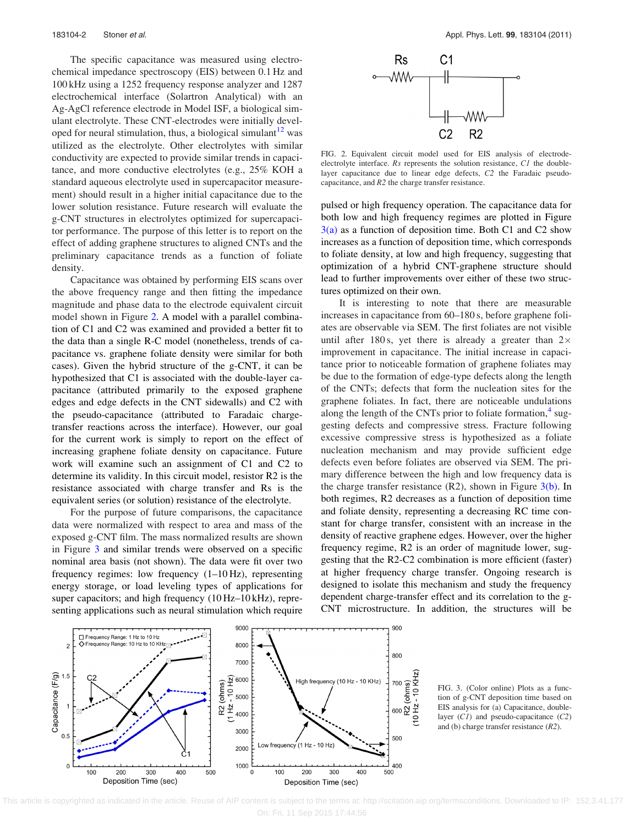The specific capacitance was measured using electrochemical impedance spectroscopy (EIS) between 0.1 Hz and 100 kHz using a 1252 frequency response analyzer and 1287 electrochemical interface (Solartron Analytical) with an Ag-AgCl reference electrode in Model ISF, a biological simulant electrolyte. These CNT-electrodes were initially developed for neural stimulation, thus, a biological simulant $12$  was utilized as the electrolyte. Other electrolytes with similar conductivity are expected to provide similar trends in capacitance, and more conductive electrolytes (e.g., 25% KOH a standard aqueous electrolyte used in supercapacitor measurement) should result in a higher initial capacitance due to the lower solution resistance. Future research will evaluate the g-CNT structures in electrolytes optimized for supercapacitor performance. The purpose of this letter is to report on the effect of adding graphene structures to aligned CNTs and the preliminary capacitance trends as a function of foliate density.

Capacitance was obtained by performing EIS scans over the above frequency range and then fitting the impedance magnitude and phase data to the electrode equivalent circuit model shown in Figure 2. A model with a parallel combination of C1 and C2 was examined and provided a better fit to the data than a single R-C model (nonetheless, trends of capacitance vs. graphene foliate density were similar for both cases). Given the hybrid structure of the g-CNT, it can be hypothesized that C1 is associated with the double-layer capacitance (attributed primarily to the exposed graphene edges and edge defects in the CNT sidewalls) and C2 with the pseudo-capacitance (attributed to Faradaic chargetransfer reactions across the interface). However, our goal for the current work is simply to report on the effect of increasing graphene foliate density on capacitance. Future work will examine such an assignment of C1 and C2 to determine its validity. In this circuit model, resistor R2 is the resistance associated with charge transfer and Rs is the equivalent series (or solution) resistance of the electrolyte.

For the purpose of future comparisons, the capacitance data were normalized with respect to area and mass of the exposed g-CNT film. The mass normalized results are shown in Figure 3 and similar trends were observed on a specific nominal area basis (not shown). The data were fit over two frequency regimes: low frequency (1–10 Hz), representing energy storage, or load leveling types of applications for super capacitors; and high frequency (10 Hz–10 kHz), representing applications such as neural stimulation which require



FIG. 2. Equivalent circuit model used for EIS analysis of electrodeelectrolyte interface. Rs represents the solution resistance, C1 the doublelayer capacitance due to linear edge defects, C2 the Faradaic pseudocapacitance, and R2 the charge transfer resistance.

pulsed or high frequency operation. The capacitance data for both low and high frequency regimes are plotted in Figure  $3(a)$  as a function of deposition time. Both C1 and C2 show increases as a function of deposition time, which corresponds to foliate density, at low and high frequency, suggesting that optimization of a hybrid CNT-graphene structure should lead to further improvements over either of these two structures optimized on their own.

It is interesting to note that there are measurable increases in capacitance from 60–180 s, before graphene foliates are observable via SEM. The first foliates are not visible until after 180 s, yet there is already a greater than  $2 \times$ improvement in capacitance. The initial increase in capacitance prior to noticeable formation of graphene foliates may be due to the formation of edge-type defects along the length of the CNTs; defects that form the nucleation sites for the graphene foliates. In fact, there are noticeable undulations along the length of the CNTs prior to foliate formation, $4 \text{ sug-}$ gesting defects and compressive stress. Fracture following excessive compressive stress is hypothesized as a foliate nucleation mechanism and may provide sufficient edge defects even before foliates are observed via SEM. The primary difference between the high and low frequency data is the charge transfer resistance  $(R2)$ , shown in Figure  $3(b)$ . In both regimes, R2 decreases as a function of deposition time and foliate density, representing a decreasing RC time constant for charge transfer, consistent with an increase in the density of reactive graphene edges. However, over the higher frequency regime, R2 is an order of magnitude lower, suggesting that the R2-C2 combination is more efficient (faster) at higher frequency charge transfer. Ongoing research is designed to isolate this mechanism and study the frequency dependent charge-transfer effect and its correlation to the g-CNT microstructure. In addition, the structures will be



FIG. 3. (Color online) Plots as a function of g-CNT deposition time based on EIS analysis for (a) Capacitance, doublelayer  $(C1)$  and pseudo-capacitance  $(C2)$ and (b) charge transfer resistance (R2).

 This article is copyrighted as indicated in the article. Reuse of AIP content is subject to the terms at: http://scitation.aip.org/termsconditions. Downloaded to IP: 152.3.41.177 On: Fri, 11 Sep 2015 17:44:56